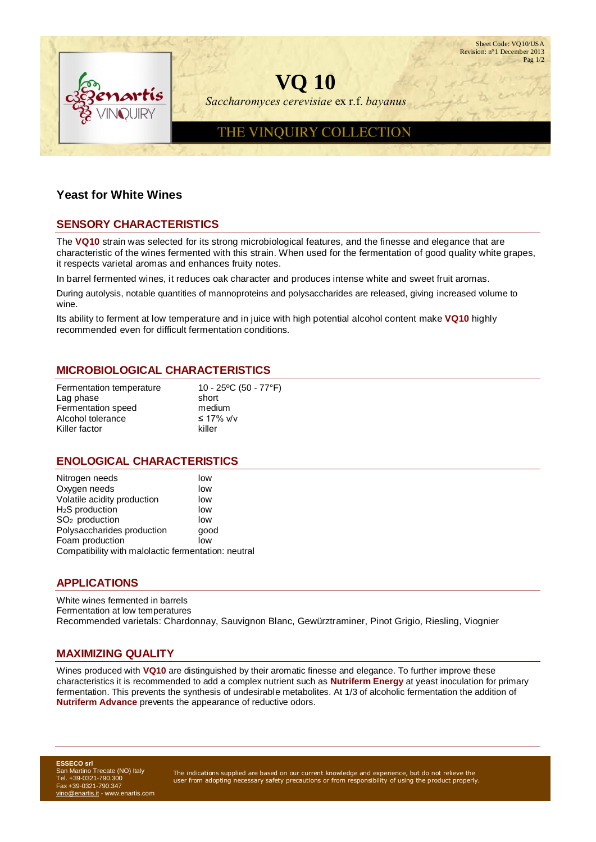Sheet Code: VO10/USA Revision: n°1 December 2013 Pag 1/2 **VQ 10** *Saccharomyces cerevisiae* ex r.f. *bayanus* THE VINQUIRY COLLECTION

## **Yeast for White Wines**

# **SENSORY CHARACTERISTICS**

The **VQ10** strain was selected for its strong microbiological features, and the finesse and elegance that are characteristic of the wines fermented with this strain. When used for the fermentation of good quality white grapes, it respects varietal aromas and enhances fruity notes.

In barrel fermented wines, it reduces oak character and produces intense white and sweet fruit aromas.

During autolysis, notable quantities of mannoproteins and polysaccharides are released, giving increased volume to wine.

Its ability to ferment at low temperature and in juice with high potential alcohol content make **VQ10** highly recommended even for difficult fermentation conditions.

### **MICROBIOLOGICAL CHARACTERISTICS**

| 10 - 25°C (50 - 77°F) |
|-----------------------|
| short                 |
| medium                |
| ≤ 17% v/v             |
| killer                |
|                       |

### **ENOLOGICAL CHARACTERISTICS**

| Nitrogen needs                                      | low  |
|-----------------------------------------------------|------|
| Oxygen needs                                        | low  |
| Volatile acidity production                         | low  |
| $H2S$ production                                    | low  |
| SO <sub>2</sub> production                          | low  |
| Polysaccharides production                          | qood |
| Foam production                                     | low  |
| Compatibility with malolactic fermentation: neutral |      |

### **APPLICATIONS**

White wines fermented in barrels Fermentation at low temperatures Recommended varietals: Chardonnay, Sauvignon Blanc, Gewürztraminer, Pinot Grigio, Riesling, Viognier

### **MAXIMIZING QUALITY**

Wines produced with **VQ10** are distinguished by their aromatic finesse and elegance. To further improve these characteristics it is recommended to add a complex nutrient such as **Nutriferm Energy** at yeast inoculation for primary fermentation. This prevents the synthesis of undesirable metabolites. At 1/3 of alcoholic fermentation the addition of **Nutriferm Advance** prevents the appearance of reductive odors.

**ESSECO srl** San Martino Trecate (NO) Italy Tel. +39-0321-790.300 Fax +39-0321-790.347 [vino@enartis.it](mailto:vino@enartis.it) - www.enartis.com

The indications supplied are based on our current knowledge and experience, but do not relieve the user from adopting necessary safety precautions or from responsibility of using the product properly.